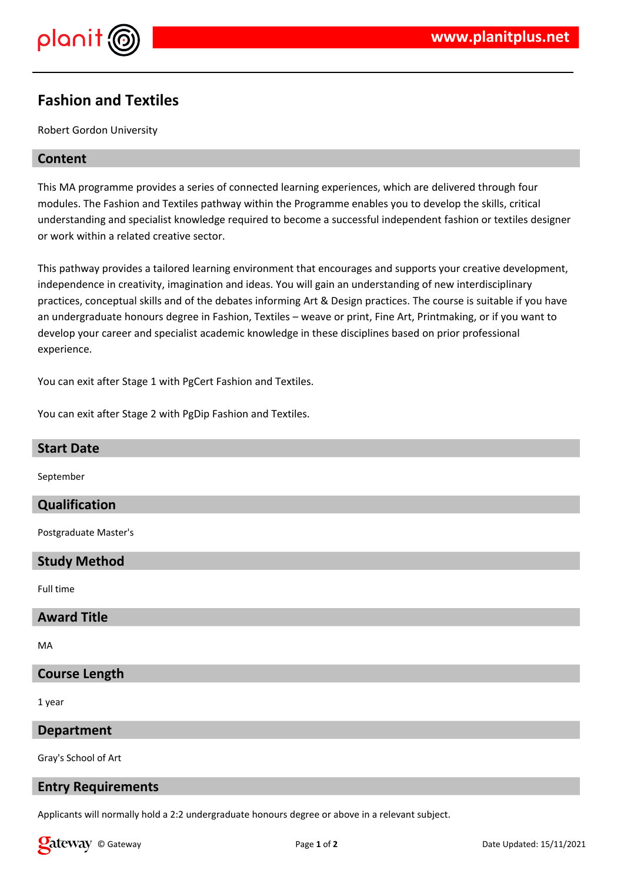

# **Fashion and Textiles**

Robert Gordon University

## **Content**

This MA programme provides a series of connected learning experiences, which are delivered through four modules. The Fashion and Textiles pathway within the Programme enables you to develop the skills, critical understanding and specialist knowledge required to become a successful independent fashion or textiles designer or work within a related creative sector.

This pathway provides a tailored learning environment that encourages and supports your creative development, independence in creativity, imagination and ideas. You will gain an understanding of new interdisciplinary practices, conceptual skills and of the debates informing Art & Design practices. The course is suitable if you have an undergraduate honours degree in Fashion, Textiles – weave or print, Fine Art, Printmaking, or if you want to develop your career and specialist academic knowledge in these disciplines based on prior professional experience.

You can exit after Stage 1 with PgCert Fashion and Textiles.

You can exit after Stage 2 with PgDip Fashion and Textiles.

| <b>Start Date</b>     |
|-----------------------|
| September             |
| Qualification         |
| Postgraduate Master's |
| <b>Study Method</b>   |
| Full time             |
| <b>Award Title</b>    |
| MA                    |
| <b>Course Length</b>  |
| 1 year                |

**Department**

Gray's School of Art

## **Entry Requirements**

Applicants will normally hold a 2:2 undergraduate honours degree or above in a relevant subject.